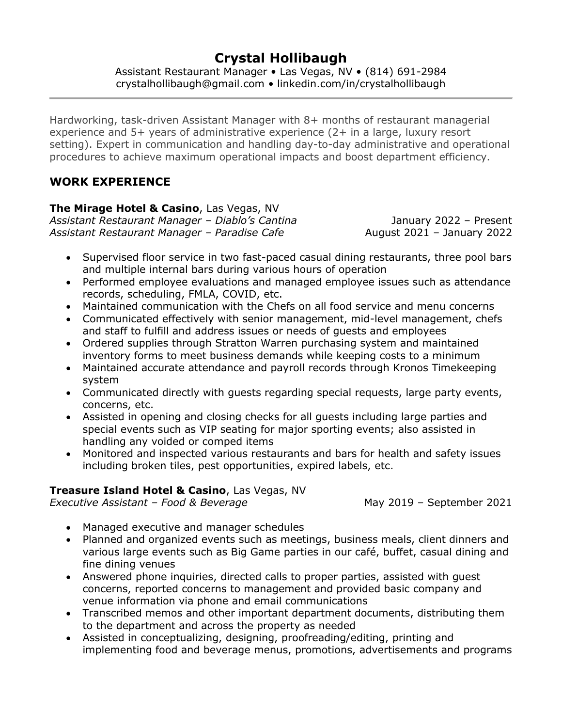# **Crystal Hollibaugh**

Assistant Restaurant Manager • Las Vegas, NV • (814) 691-2984 crystalhollibaugh@gmail.com • linkedin.com/in/crystalhollibaugh

Hardworking, task-driven Assistant Manager with 8+ months of restaurant managerial experience and 5+ years of administrative experience (2+ in a large, luxury resort setting). Expert in communication and handling day-to-day administrative and operational procedures to achieve maximum operational impacts and boost department efficiency.

# **WORK EXPERIENCE**

**The Mirage Hotel & Casino**, Las Vegas, NV

*Assistant Restaurant Manager – Diablo's Cantina* January 2022 – Present *Assistant Restaurant Manager – Paradise Cafe* August 2021 – January 2022

- Supervised floor service in two fast-paced casual dining restaurants, three pool bars and multiple internal bars during various hours of operation
- Performed employee evaluations and managed employee issues such as attendance records, scheduling, FMLA, COVID, etc.
- Maintained communication with the Chefs on all food service and menu concerns
- Communicated effectively with senior management, mid-level management, chefs and staff to fulfill and address issues or needs of guests and employees
- Ordered supplies through Stratton Warren purchasing system and maintained inventory forms to meet business demands while keeping costs to a minimum
- Maintained accurate attendance and payroll records through Kronos Timekeeping system
- Communicated directly with guests regarding special requests, large party events, concerns, etc.
- Assisted in opening and closing checks for all guests including large parties and special events such as VIP seating for major sporting events; also assisted in handling any voided or comped items
- Monitored and inspected various restaurants and bars for health and safety issues including broken tiles, pest opportunities, expired labels, etc.

### **Treasure Island Hotel & Casino**, Las Vegas, NV

*Executive Assistant – Food & Beverage* May 2019 – September 2021

- Managed executive and manager schedules
- Planned and organized events such as meetings, business meals, client dinners and various large events such as Big Game parties in our café, buffet, casual dining and fine dining venues
- Answered phone inquiries, directed calls to proper parties, assisted with guest concerns, reported concerns to management and provided basic company and venue information via phone and email communications
- Transcribed memos and other important department documents, distributing them to the department and across the property as needed
- Assisted in conceptualizing, designing, proofreading/editing, printing and implementing food and beverage menus, promotions, advertisements and programs